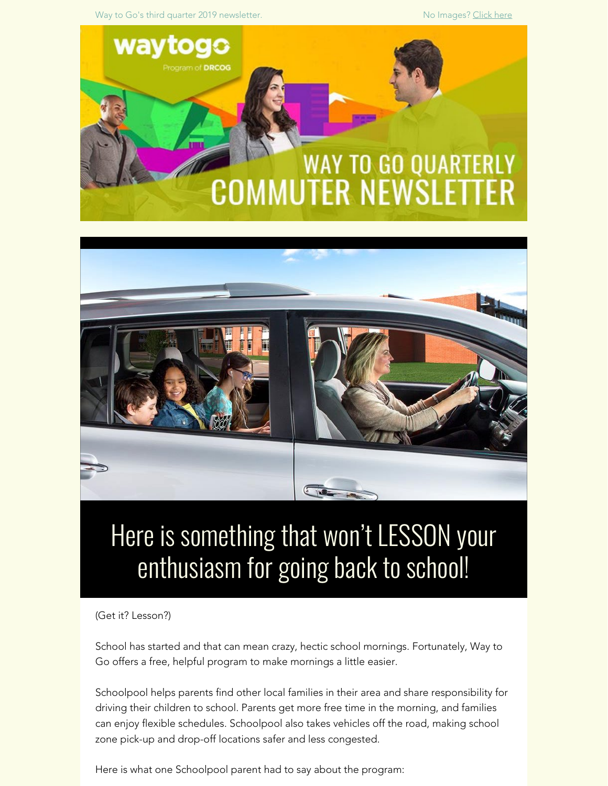Way to Go's third quarter 2019 newsletter. No Images? [Click here](https://drcog.createsend1.com/t/d-e-xqddik-l-z/)





# Here is something that won't LESSON your enthusiasm for going back to school!

(Get it? Lesson?)

School has started and that can mean crazy, hectic school mornings. Fortunately, Way to Go offers a free, helpful program to make mornings a little easier.

Schoolpool helps parents find other local families in their area and share responsibility for driving their children to school. Parents get more free time in the morning, and families can enjoy flexible schedules. Schoolpool also takes vehicles off the road, making school zone pick-up and drop-off locations safer and less congested.

Here is what one Schoolpool parent had to say about the program: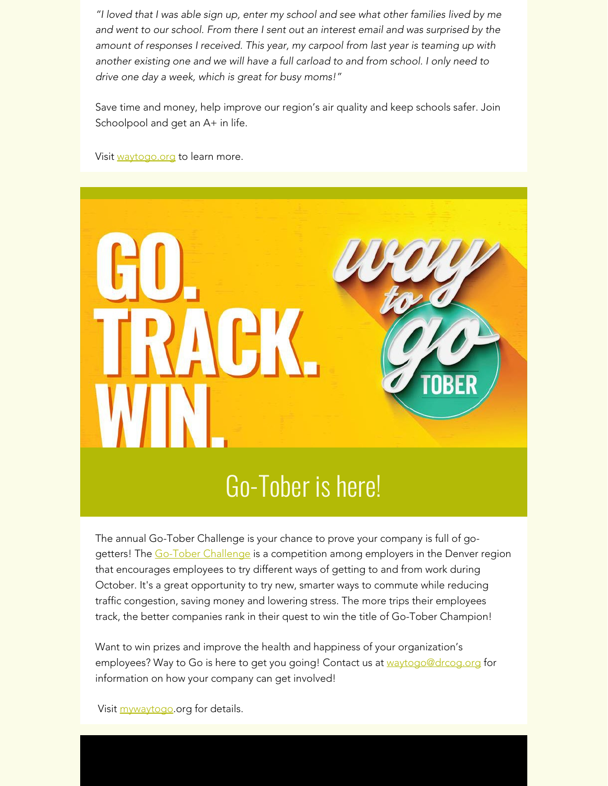*"I loved that I was able sign up, enter my school and see what other families lived by me and went to our school. From there I sent out an interest email and was surprised by the amount of responses I received. This year, my carpool from last year is teaming up with another existing one and we will have a full carload to and from school. I only need to drive one day a week, which is great for busy moms!"*

Save time and money, help improve our region's air quality and keep schools safer. Join Schoolpool and get an A+ in life.

Visit [waytogo.org](https://drcog.createsend1.com/t/d-l-xqddik-l-y/) to learn more.



The annual Go-Tober Challenge is your chance to prove your company is full of go-getters! The [Go-Tober Challenge](https://drcog.createsend1.com/t/d-l-xqddik-l-j/) is a competition among employers in the Denver region that encourages employees to try different ways of getting to and from work during October. It's a great opportunity to try new, smarter ways to commute while reducing traffic congestion, saving money and lowering stress. The more trips their employees track, the better companies rank in their quest to win the title of Go-Tober Champion!

Want to win prizes and improve the health and happiness of your organization's employees? Way to Go is here to get you going! Contact us at [waytogo@drcog.org](mailto:waytogo@drcog.org) for information on how your company can get involved!

Visit [mywaytogo](https://drcog.createsend1.com/t/d-l-xqddik-l-t/).org for details.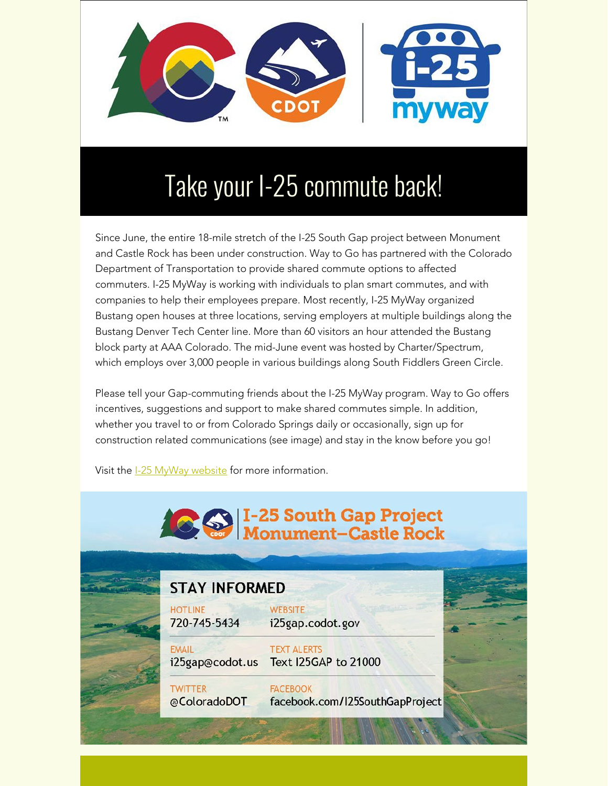

# Take your I-25 commute back!

Since June, the entire 18-mile stretch of the I-25 South Gap project between Monument and Castle Rock has been under construction. Way to Go has partnered with the Colorado Department of Transportation to provide shared commute options to affected commuters. I-25 MyWay is working with individuals to plan smart commutes, and with companies to help their employees prepare. Most recently, I-25 MyWay organized Bustang open houses at three locations, serving employers at multiple buildings along the Bustang Denver Tech Center line. More than 60 visitors an hour attended the Bustang block party at AAA Colorado. The mid-June event was hosted by Charter/Spectrum, which employs over 3,000 people in various buildings along South Fiddlers Green Circle.

Please tell your Gap-commuting friends about the I-25 MyWay program. Way to Go offers incentives, suggestions and support to make shared commutes simple. In addition, whether you travel to or from Colorado Springs daily or occasionally, sign up for construction related communications (see image) and stay in the know before you go!

Visit the [I-25 MyWay website](https://drcog.createsend1.com/t/d-l-xqddik-l-i/) for more information.

| <b>CO</b> I-25 South Gap Project |                                |                                                            |  |
|----------------------------------|--------------------------------|------------------------------------------------------------|--|
|                                  |                                |                                                            |  |
|                                  | <b>HOTLINE</b><br>720-745-5434 | <b>WEBSITE</b><br>i25gap.codot.gov                         |  |
|                                  | <b>EMAIL</b>                   | <b>TEXT ALERTS</b><br>i25gap@codot.us Text I25GAP to 21000 |  |
|                                  | <b>TWITTER</b><br>@ColoradoDOT | <b>FACEBOOK</b><br>facebook.com/I25SouthGapProject         |  |
|                                  |                                |                                                            |  |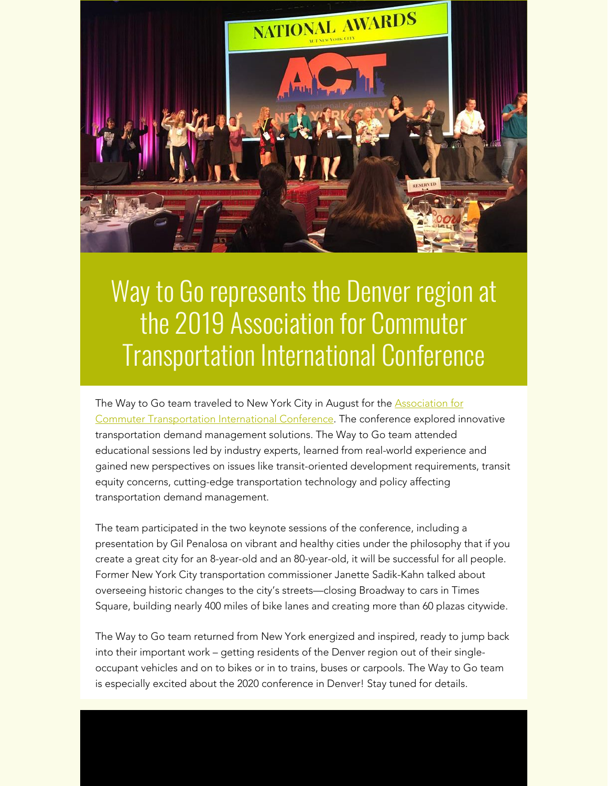

#### Way to Go represents the Denver region at the 2019 Association for Commuter Transportation International Conference

The Way to Go team traveled to New York City in August for the **[Association for](https://drcog.createsend1.com/t/d-l-xqddik-l-d/)** [Commuter Transportation International Conference](https://drcog.createsend1.com/t/d-l-xqddik-l-d/). The conference explored innovative transportation demand management solutions. The Way to Go team attended educational sessions led by industry experts, learned from real-world experience and gained new perspectives on issues like transit-oriented development requirements, transit equity concerns, cutting-edge transportation technology and policy affecting transportation demand management.

The team participated in the two keynote sessions of the conference, including a presentation by Gil Penalosa on vibrant and healthy cities under the philosophy that if you create a great city for an 8-year-old and an 80-year-old, it will be successful for all people. Former New York City transportation commissioner Janette Sadik-Kahn talked about overseeing historic changes to the city's streets—closing Broadway to cars in Times Square, building nearly 400 miles of bike lanes and creating more than 60 plazas citywide.

The Way to Go team returned from New York energized and inspired, ready to jump back into their important work – getting residents of the Denver region out of their singleoccupant vehicles and on to bikes or in to trains, buses or carpools. The Way to Go team is especially excited about the 2020 conference in Denver! Stay tuned for details.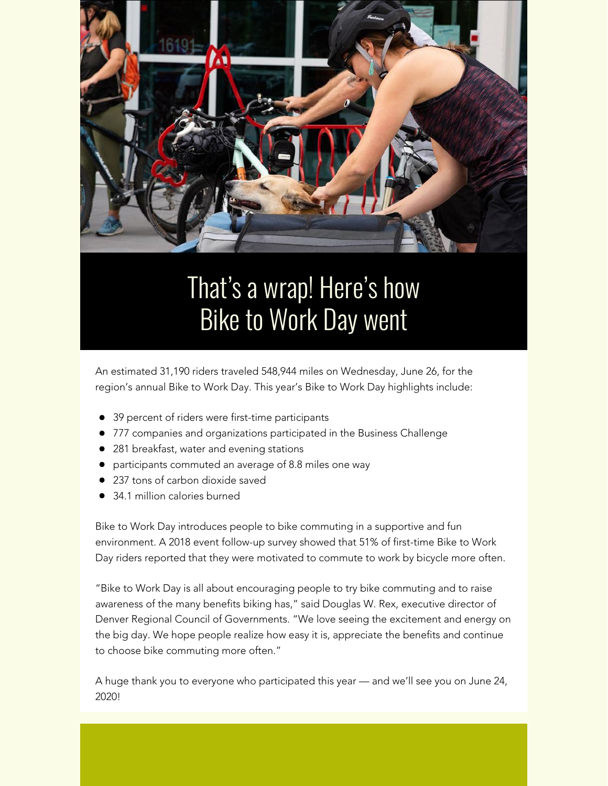

### That's a wrap! Here's how Bike to Work Day went

An estimated 31,190 riders traveled 548,944 miles on Wednesday, June 26, for the region's annual Bike to Work Day. This year's Bike to Work Day highlights include:

- 39 percent of riders were first-time participants
- 777 companies and organizations participated in the Business Challenge
- 281 breakfast, water and evening stations
- participants commuted an average of 8.8 miles one way
- 237 tons of carbon dioxide saved
- 34.1 million calories burned

Bike to Work Day introduces people to bike commuting in a supportive and fun environment. A 2018 event follow-up survey showed that 51% of first-time Bike to Work Day riders reported that they were motivated to commute to work by bicycle more often.

"Bike to Work Day is all about encouraging people to try bike commuting and to raise awareness of the many benefits biking has," said Douglas W. Rex, executive director of Denver Regional Council of Governments. "We love seeing the excitement and energy on the big day. We hope people realize how easy it is, appreciate the benefits and continue to choose bike commuting more often."

A huge thank you to everyone who participated this year — and we'll see you on June 24, 2020!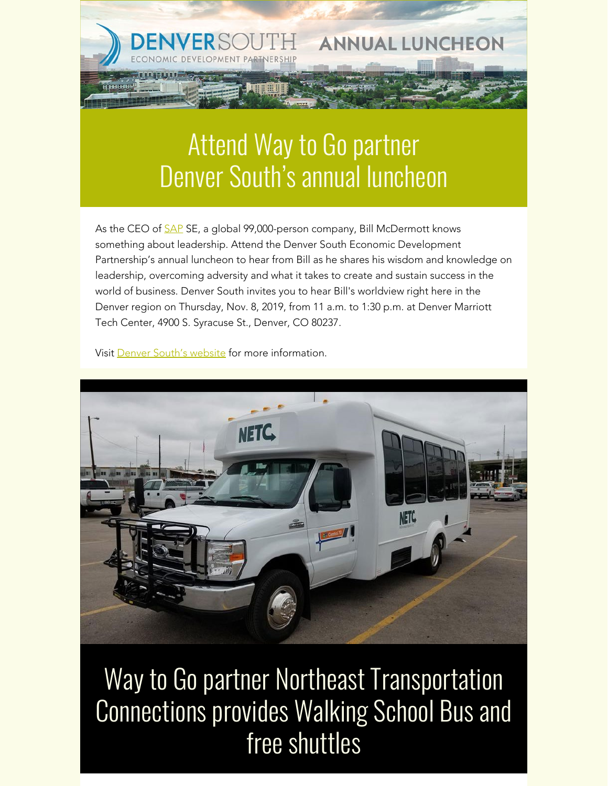### Attend Way to Go partner Denver South's annual luncheon

**ANNUAL LUNCHEON** 

As the CEO of **[SAP](https://drcog.createsend1.com/t/d-l-xqddik-l-h/)** SE, a global 99,000-person company, Bill McDermott knows something about leadership. Attend the Denver South Economic Development Partnership's annual luncheon to hear from Bill as he shares his wisdom and knowledge on leadership, overcoming adversity and what it takes to create and sustain success in the world of business. Denver South invites you to hear Bill's worldview right here in the Denver region on Thursday, Nov. 8, 2019, from 11 a.m. to 1:30 p.m. at Denver Marriott Tech Center, 4900 S. Syracuse St., Denver, CO 80237.

Visit [Denver South's website](https://drcog.createsend1.com/t/d-l-xqddik-l-k/) for more information.



Way to Go partner Northeast Transportation Connections provides Walking School Bus and free shuttles